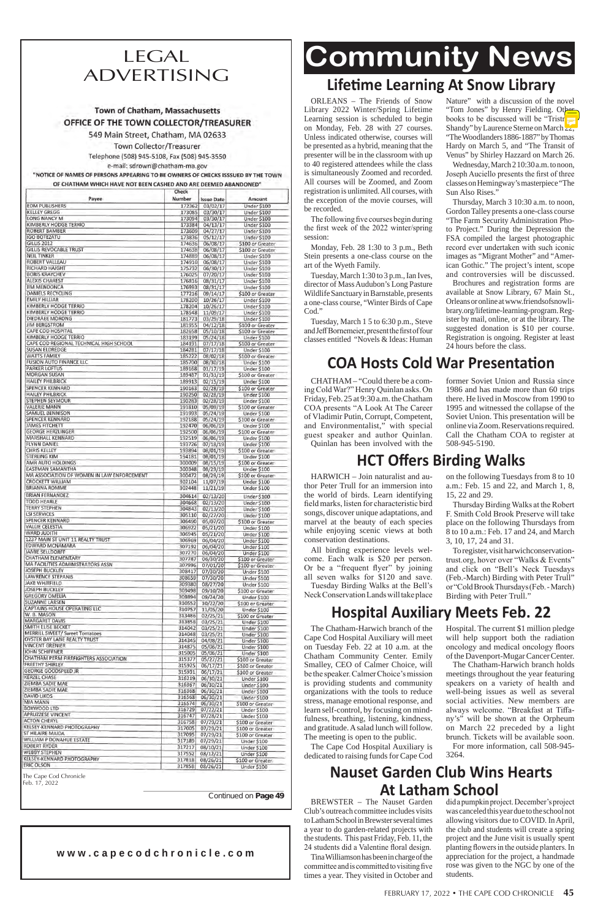# **Community News**

| Payee                                                      | Number           | <b>Issue Date</b>    | Amount                               |
|------------------------------------------------------------|------------------|----------------------|--------------------------------------|
| <b>EDM PUBLISHERS</b><br><b>KELLEY GREGG</b>               | 172362<br>173085 | 03/02/17             | Under \$100                          |
| LONG NANCY M                                               | 173094           | 03/30/17<br>03/30/17 | Under \$100<br>Under \$100           |
| KIMBERLY HODGE TERRIO                                      | 173384           | 04/13/17             | Under \$100                          |
| <b>ROBERT BAMBER</b>                                       | 173609           | 04/27/17             | Under \$100                          |
| <b>IGO BOTEZATU</b>                                        | 173836           | 05/12/17             | Under \$100                          |
| <b>GILLIS 2012</b>                                         | 174636           | 06/08/17             | \$100 or Greater                     |
| <b>GILLIS REVOCABLE TRUST</b>                              | 174638           | 06/08/17             | \$100 or Greater                     |
| <b>NEIL TINKER</b><br>ROBERT VALLEAU                       | 174889<br>174910 | 06/08/17<br>06/08/17 | Under \$100<br><b>Under \$100</b>    |
| <b>RICHARD HAIGHT</b>                                      | 175732           | 06/30/17             | Under \$100                          |
| <b>BORIS KRAYCHEV</b>                                      | 176025           | 07/20/17             | Under \$100                          |
| <b>ALEXIS CHAREST</b>                                      | 176816           | 08/31/17             | Under \$100                          |
| <b>JIM MENDONCA</b>                                        | 176993           | 08/31/17             | Under \$100                          |
| DANIELS RECYCLING                                          | 177216           | 09/14/17             | \$100 or Greater                     |
| EMILY HILLIAR                                              | 178200           | 10/26/17             | Under \$100                          |
| KIMBERLY HODGE TERRIO                                      | 178204           | 10/26/17             | Under \$100                          |
| KIMBERLY HODGE TERRIO                                      | 178548           | 11/09/17             | Under \$100                          |
| DIEDRAEE MORONG                                            | 181773           | 03/29/18             | Under \$100                          |
| <b>JIM BERGSTROM</b><br>CAPE COD HOSPITAL                  | 181955<br>182658 | 04/12/18<br>05/10/18 | \$100 or Greater<br>\$100 or Greater |
| KIMBERLY HODGE TERRIO                                      | 183199           | 05/24/18             | Under \$100                          |
| CAPE COD REGIONAL TECHNICAL HIGH SCHOOL                    | 184191           | 07/17/18             | \$100 or Greater                     |
| <b>SUSAN ELDREDGE</b>                                      | 184281           | 07/17/18             | Under \$100                          |
| WATTS FAMILY                                               | 185222           | 08/02/18             | \$100 or Greater                     |
| <b>FUSION AUTO FINANCE LLC</b>                             | 185700           | 08/30/18             | Under \$100                          |
| <b>PARKER LOFTUS</b>                                       | 189168           | 01/17/19             | Under \$100                          |
| <b>MORGAN SUSAN</b>                                        | 189487           | 01/31/19             | \$100 or Greater                     |
| <b>HAILEY PHILBRICK</b>                                    | 189913           | 02/15/19             | Under \$100                          |
| <b>SPENCER KENNARD</b>                                     | 190163           | 02/28/19             | \$100 or Greater                     |
| <b>HAILEY PHILBRICK</b>                                    | 190250           | 02/28/19             | Under \$100                          |
| STEPHEN SEYMOUR                                            | 190283           | 02/28/19             | Under \$100                          |
| <b>VALERIE MANN</b><br>SAMUEL BENNISON                     | 191810<br>191993 | 05/09/19<br>05/24/19 | \$100 or Greater                     |
| <b>SPENCER KENNARD</b>                                     | 192188           | 05/24/19             | Under \$100<br>\$100 or Greater      |
| <b>JAMES FITCHETT</b>                                      | 192470           | 06/06/19             | Under \$100                          |
| <b>GEORGE HERZLINGER</b>                                   | 192500           | 06/06/19             | \$100 or Greater                     |
| <b>MARSHALL KENNARD</b>                                    | 192519           | 06/06/19             | Under \$100                          |
| FLYNN DANIEL                                               | 193726           | 07/18/19             | Under \$100                          |
| <b>CHRIS KELLEY</b>                                        | 193894           | 08/01/19             | \$100 or Greater                     |
| <b>STERLING KIM</b>                                        | 194181           | 08/01/19             | Under \$100                          |
| AMR AUTO HOLDINGS                                          | 300009           | 08/15/19             | \$100 or Greater                     |
| EASTMAN SAMANTHA                                           | 300348           | 08/29/19             | Under \$100                          |
| MA ASSOCIATION OF WOMEN IN LAW ENFORCEMENT                 | 300472           | 08/29/19             | \$100 or Greater                     |
| <b>CROCKETT WILLIAM</b><br><b>BRIANNA ROMME</b>            | 302104           | 11/07/19<br>11/21/19 | Under \$100                          |
| <b>BRIAN FERNANDEZ</b>                                     | 302448           |                      | Under \$100                          |
| <b>TODD HEARLE</b>                                         | 304614           | 02/13/20             | Under \$100                          |
| <b>TERRY STEPHEN</b>                                       | 304668<br>304843 | 02/13/20             | Under \$100                          |
| <b>LSI SERVICES</b>                                        | 305110           | 02/13/20<br>02/27/20 | Under \$100<br>Under \$100           |
| <b>SPENCER KENNARD</b>                                     | 306490           | 05/07/20             | \$100 or Greater                     |
| VALLIE CELESTIA                                            | 306922           | 05/21/20             | Under \$100                          |
| <b>WARD JUDITH</b>                                         | 306945           | 05/21/20             | Under \$100                          |
| 1237 MAIN ST UNIT 11 REALTY TRUST                          | 306969           | 06/04/20             | Under \$100                          |
| EDWARD MCNAMARA                                            | 307192           | 06/04/20             | Under \$100                          |
| <b>JAMIE SELLDORFF</b>                                     | 307270           | 06/04/20             | Under \$100                          |
| CHATHAM ELEMENTARY                                         | 307787           | 06/30/20             | \$100 or Greater                     |
| MA FACILITIES ADMINISTRATORS ASSN<br><b>JOSEPH BUCKLEY</b> | 307996           | 07/01/20             | \$100 or Greater                     |
| <b>LAWRENCE STEPANIS</b>                                   | 308417           | 07/30/20             | Under \$100                          |
| <b>JAKE WHITFIELD</b>                                      | 308659           | 07/30/20             | Under \$100                          |
| <b>JOSEPH BUCKLEY</b>                                      | 309380<br>309498 | 08/27/20<br>09/10/20 | Under \$100                          |
| <b>GREGORY OMELIA</b>                                      | 309894           | 09/24/20             | \$100 or Greater<br>Under \$100      |
| SUZANNE LARSEN                                             | 310552           | 10/22/20             | \$100 or Greater                     |
| CAPTAINS HOUSE OPERATING LLC                               | 310757           | 11/05/20             | Under \$100                          |
| W. B. MASON                                                | 313486           | 02/25/21             | \$100 or Greater                     |
| <b>MARGARET DAVIS</b>                                      | 313858           | 03/25/21             | Under \$100                          |
| SMITH ELISE BECKET                                         | 314042           | 03/25/21             | Under \$100                          |
| <b>MERRILL SWEET/ Sweet Tomatoes</b>                       | 314048           | 03/25/21             | Under \$100                          |
| OYSTER BAY LANE REALTY TRUST<br><b>VINCENT GRENIER</b>     | 314345           | 04/08/21             | Under \$100                          |
| JOHN SCHIFFNER                                             | 314875           | 05/06/21             | Under \$100                          |
| CHATHAM PERM FIREFIGHTERS ASSOCIATION                      | 315005           | 05/06/21             | Under \$100                          |
| <b>FREETHY SHIRLEY</b>                                     | 315377<br>315925 | 05/27/21<br>06/17/21 | \$100 or Greater<br>\$100 or Greater |
| <b>GEORGE GOODSPEED JR</b>                                 | 315931           | 06/17/21             | \$100 or Greater                     |
| <b>KERZEL CHASE</b>                                        | 316219           | 06/30/21             | Under \$100                          |
| ZIEMBA SADIE MAE                                           | 316367           | 06/30/21             | Under \$100                          |
| ZIEMBA SADIE MAE                                           | 316368           | 06/30/21             | Under \$100                          |
| <b>DAVID LIKOS</b>                                         | 316568           | 06/30/21             | Under \$100                          |
| MIA MANN                                                   | 316574           | 06/30/21             | \$100 or Greater                     |
| BOXWOOD LTD                                                | 316729           | 07/22/21             | Under \$100                          |
| <b>APRUZZESE VINCENT</b>                                   | 316747           | 07/28/21             | Under \$100                          |
| <b>ACTON CHERYL</b><br>KELSEY-KENNARD PHOTOGRAPHY          | 316758           | 07/29/21             | \$100 or Greater                     |
| ST HILAIRE MAIDA                                           | 317005           | 07/29/21             | \$100 or Greater                     |
| WILLIAM P DONAHUE ESTATE                                   | 317095           | 07/29/21             | \$100 or Greater                     |
| <b>ROBERT RYDER</b>                                        | 317189<br>317217 | 07/29/21             | Under \$100                          |
|                                                            | 317552           | 08/10/21<br>08/12/21 | Under \$100                          |
|                                                            |                  |                      | Under \$100                          |
| <b>WEBBY STEPHEN</b><br>KELSEY-KENNARD PHOTOGRAPHY         |                  |                      |                                      |
| <b>ERIC OLSON</b>                                          | 317818<br>317858 | 08/26/21<br>08/26/21 | \$100 or Greater<br>Under \$100      |

# LEGAL ADVERTISING

### Town of Chatham, Massachusetts OFFICE OF THE TOWN COLLECTOR/TREASURER

549 Main Street, Chatham, MA 02633

Town Collector/Treasurer

Telephone (508) 945-5108, Fax (508) 945-3550 e-mail: sdrown@chatham-ma.gov

"NOTICE OF NAMES OF PERSONS APPEARING TO BE OWNERS OF CHECKS ISSSUED BY THE TOWN OF CHATHAM WHICH HAVE NOT BEEN CASHED AND ARE DEEMED ABANDONED"

### **w w w . c a p e c o d c h r o n i c l e . c o m**

### **Lifetime Learning At Snow Library**

ORLEANS – The Friends of Snow Library 2022 Winter/Spring Lifetime Learning session is scheduled to begin on Monday, Feb. 28 with 27 courses. Unless indicated otherwise, courses will be presented as a hybrid, meaning that the presenter will be in the classroom with up to 40 registered attendees while the class is simultaneously Zoomed and recorded. All courses will be Zoomed, and Zoom registration is unlimited. All courses, with the exception of the movie courses, will be recorded.

 The following five courses begin during the first week of the 2022 winter/spring session:

Monday, Feb. 28 1:30 to 3 p.m., Beth Stein presents a one-class course on the art of the Wyeth Family.

Tuesday, March 1:30 to 3 p.m., Ian Ives, director of Mass Audubon's Long Pasture Wildlife Sanctuary in Barnstable, presents a one-class course, "Winter Birds of Cape Cod."

Tuesday, March 1 5 to 6:30 p.m., Steve and Jeff Bornemeier, present the first of four classes entitled "Novels & Ideas: Human Nature" with a discussion of the novel "Tom Jones" by Henry Fielding. Other books to be discussed will be "Tristr Shandy" by Laurence Sterne on March  $\frac{1}{2}$ , "The Woodlanders 1886-1887" by Thomas Hardy on March 5, and "The Transit of Venus" by Shirley Hazzard on March 26.

Wednesday, March 2 10:30 a.m. to noon, Joseph Auciello presents the first of three classes on Hemingway's masterpiece "The Sun Also Rises."

 Tuesday Birding Walks at the Bell's Neck Conservation Lands will take place

Thursday, March 3 10:30 a.m. to noon, Gordon Talley presents a one-class course "The Farm Security Administration Photo Project." During the Depression the FSA compiled the largest photographic record ever undertaken with such iconic images as "Migrant Mother" and "American Gothic." The project's intent, scope and controversies will be discussed.

Thursday Birding Walks at the Robert F. Smith Cold Brook Preserve will take place on the following Thursdays from 8 to 10 a.m.: Feb. 17 and 24, and March 3, 10, 17, 24 and 31.

Brochures and registration forms are available at Snow Library, 67 Main St., Orleans or online at www.friendsofsnowlibrary.org/lifetime-learning-program.Register by mail, online, or at the library. The suggested donation is \$10 per course. Registration is ongoing. Register at least 24 hours before the class.

# **COA Hosts Cold War Presentation**

CHATHAM – "Could there be a comingColdWar?" Henry Quinlan asks. On Friday, Feb. 25 at 9:30 a.m. the Chatham COA presents "A Look At The Career of Vladimir Putin, Corrupt, Competent, and Environmentalist," with special guest speaker and author Quinlan. Quinlan has been involved with the

former Soviet Union and Russia since 1986 and has made more than 60 trips there. He lived in Moscow from 1990 to 1995 and witnessed the collapse of the Soviet Union. This presentation will be online via Zoom. Reservations required. Call the Chatham COA to register at 508-945-5190.

### **HCT Offers Birding Walks**

HARWICH – Join naturalist and author Peter Trull for an immersion into the world of birds. Learn identifying field marks, listen for characteristic bird songs, discover unique adaptations, and marvel at the beauty of each species while enjoying scenic views at both conservation destinations.

All birding experience levels welcome. Each walk is \$20 per person. Or be a "frequent flyer" by joining all seven walks for \$120 and save.

on the following Tuesdays from 8 to 10 a.m.: Feb. 15 and 22, and March 1, 8, 15, 22 and 29.

To register, visit harwichconservationtrust.org, hover over "Walks & Events" and click on "Bell's Neck Tuesdays (Feb.-March) Birding with Peter Trull" or"ColdBrookThursdays(Feb.-March) Birding with Peter Trull."

# **Hospital Auxiliary Meets Feb. 22**

The Chatham-Harwich branch of the Cape Cod Hospital Auxiliary will meet on Tuesday Feb. 22 at 10 a.m. at the Chatham Community Center. Emily Smalley, CEO of Calmer Choice, will be the speaker.CalmerChoice'smission is providing students and community organizations with the tools to reduce stress, manage emotional response, and learn self-control, by focusing on mindfulness, breathing, listening, kindness, and gratitude. A salad lunch will follow. The meeting is open to the public.

The Cape Cod Hospital Auxiliary is dedicated to raising funds for Cape Cod

Hospital. The current \$1 million pledge will help support both the radiation oncology and medical oncology floors of the Davenport-Mugar Cancer Center.

The Chatham-Harwich branch holds meetings throughout the year featuring speakers on a variety of health and well-being issues as well as several social activities. New members are always welcome. "Breakfast at Tiffany's" will be shown at the Orpheum on March 22 preceded by a light brunch. Tickets will be available soon. For more information, call 508-945- 3264.

## **Nauset Garden Club Wins Hearts At Latham School**

BREWSTER – The Nauset Garden Club's outreach committee includes visits to Latham School in Brewster several times a year to do garden-related projects with the students. This past Friday, Feb. 11, the 24 students did a Valentine floral design.

Tina Williamson has been in charge of the committee and is committed to visiting five times a year. They visited in October and

didapumpkinproject.December'sproject was canceled this year due to the school not allowing visitors due to COVID. In April, the club and students will create a spring project and the June visit is usually spent planting flowers in the outside planters. In appreciation for the project, a handmade rose was given to the NGC by one of the students.